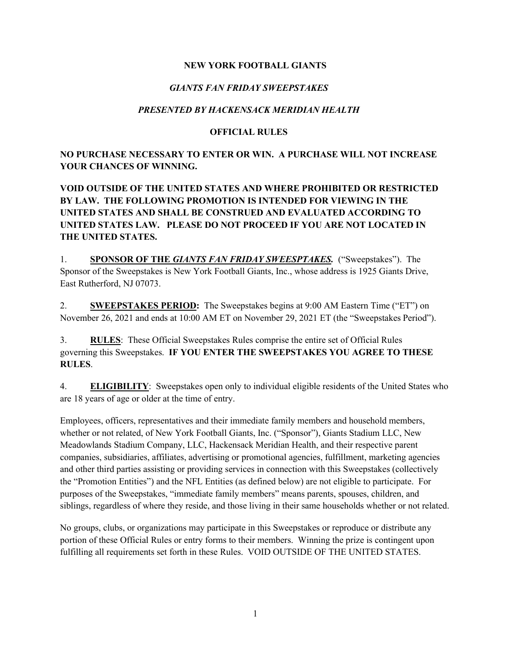#### **NEW YORK FOOTBALL GIANTS**

#### *GIANTS FAN FRIDAY SWEEPSTAKES*

### *PRESENTED BY HACKENSACK MERIDIAN HEALTH*

#### **OFFICIAL RULES**

## **NO PURCHASE NECESSARY TO ENTER OR WIN. A PURCHASE WILL NOT INCREASE YOUR CHANCES OF WINNING.**

**VOID OUTSIDE OF THE UNITED STATES AND WHERE PROHIBITED OR RESTRICTED BY LAW. THE FOLLOWING PROMOTION IS INTENDED FOR VIEWING IN THE UNITED STATES AND SHALL BE CONSTRUED AND EVALUATED ACCORDING TO UNITED STATES LAW. PLEASE DO NOT PROCEED IF YOU ARE NOT LOCATED IN THE UNITED STATES.**

1. **SPONSOR OF THE** *GIANTS FAN FRIDAY SWEESPTAKES.* ("Sweepstakes"). The Sponsor of the Sweepstakes is New York Football Giants, Inc., whose address is 1925 Giants Drive, East Rutherford, NJ 07073.

2. **SWEEPSTAKES PERIOD:** The Sweepstakes begins at 9:00 AM Eastern Time ("ET") on November 26, 2021 and ends at 10:00 AM ET on November 29, 2021 ET (the "Sweepstakes Period").

3. **RULES**: These Official Sweepstakes Rules comprise the entire set of Official Rules governing this Sweepstakes. **IF YOU ENTER THE SWEEPSTAKES YOU AGREE TO THESE RULES**.

4. **ELIGIBILITY**: Sweepstakes open only to individual eligible residents of the United States who are 18 years of age or older at the time of entry.

Employees, officers, representatives and their immediate family members and household members, whether or not related, of New York Football Giants, Inc. ("Sponsor"), Giants Stadium LLC, New Meadowlands Stadium Company, LLC, Hackensack Meridian Health, and their respective parent companies, subsidiaries, affiliates, advertising or promotional agencies, fulfillment, marketing agencies and other third parties assisting or providing services in connection with this Sweepstakes (collectively the "Promotion Entities") and the NFL Entities (as defined below) are not eligible to participate. For purposes of the Sweepstakes, "immediate family members" means parents, spouses, children, and siblings, regardless of where they reside, and those living in their same households whether or not related.

No groups, clubs, or organizations may participate in this Sweepstakes or reproduce or distribute any portion of these Official Rules or entry forms to their members. Winning the prize is contingent upon fulfilling all requirements set forth in these Rules. VOID OUTSIDE OF THE UNITED STATES.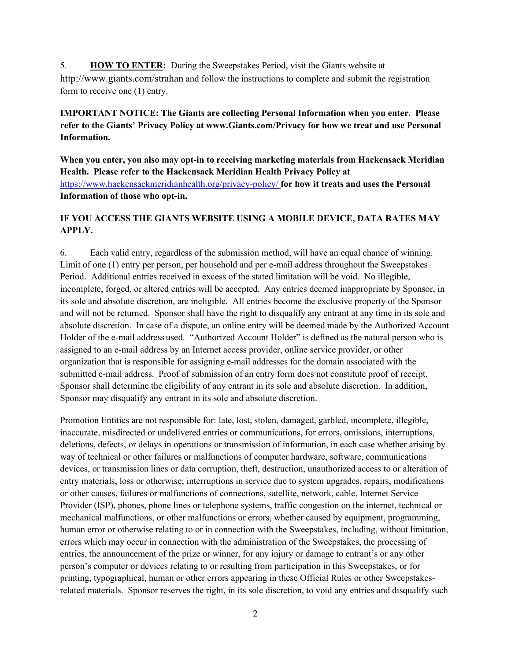5. **HOW TO ENTER:** During the Sweepstakes Period, visit the Giants website at http://www.giants.com/strahan and follow the instructions to complete and submit the registration form to receive one (1) entry.

**IMPORTANT NOTICE: The Giants are collecting Personal Information when you enter. Please refer to the Giants' Privacy Policy at www.Giants.com/Privacy for how we treat and use Personal Information.** 

**When you enter, you also may opt-in to receiving marketing materials from Hackensack Meridian Health. Please refer to the Hackensack Meridian Health Privacy Policy at**  <https://www.hackensackmeridianhealth.org/privacy-policy/> **for how it treats and uses the Personal Information of those who opt-in.**

## **IF YOU ACCESS THE GIANTS WEBSITE USING A MOBILE DEVICE, DATA RATES MAY APPLY.**

6. Each valid entry, regardless of the submission method, will have an equal chance of winning. Limit of one (1) entry per person, per household and per e-mail address throughout the Sweepstakes Period. Additional entries received in excess of the stated limitation will be void. No illegible, incomplete, forged, or altered entries will be accepted. Any entries deemed inappropriate by Sponsor, in its sole and absolute discretion, are ineligible. All entries become the exclusive property of the Sponsor and will not be returned. Sponsor shall have the right to disqualify any entrant at any time in its sole and absolute discretion. In case of a dispute, an online entry will be deemed made by the Authorized Account Holder of the e-mail address used. "Authorized Account Holder" is defined as the natural person who is assigned to an e-mail address by an Internet access provider, online service provider, or other organization that is responsible for assigning e-mail addresses for the domain associated with the submitted e-mail address. Proof of submission of an entry form does not constitute proof of receipt. Sponsor shall determine the eligibility of any entrant in its sole and absolute discretion. In addition, Sponsor may disqualify any entrant in its sole and absolute discretion.

Promotion Entities are not responsible for: late, lost, stolen, damaged, garbled, incomplete, illegible, inaccurate, misdirected or undelivered entries or communications, for errors, omissions, interruptions, deletions, defects, or delays in operations or transmission of information, in each case whether arising by way of technical or other failures or malfunctions of computer hardware, software, communications devices, or transmission lines or data corruption, theft, destruction, unauthorized access to or alteration of entry materials, loss or otherwise; interruptions in service due to system upgrades, repairs, modifications or other causes, failures or malfunctions of connections, satellite, network, cable, Internet Service Provider (ISP), phones, phone lines or telephone systems, traffic congestion on the internet, technical or mechanical malfunctions, or other malfunctions or errors, whether caused by equipment, programming, human error or otherwise relating to or in connection with the Sweepstakes, including, without limitation, errors which may occur in connection with the administration of the Sweepstakes, the processing of entries, the announcement of the prize or winner, for any injury or damage to entrant's or any other person's computer or devices relating to or resulting from participation in this Sweepstakes, or for printing, typographical, human or other errors appearing in these Official Rules or other Sweepstakesrelated materials. Sponsor reserves the right, in its sole discretion, to void any entries and disqualify such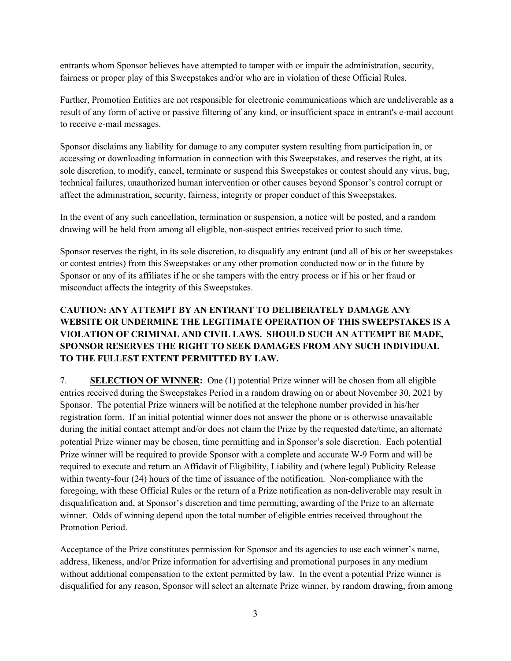entrants whom Sponsor believes have attempted to tamper with or impair the administration, security, fairness or proper play of this Sweepstakes and/or who are in violation of these Official Rules.

Further, Promotion Entities are not responsible for electronic communications which are undeliverable as a result of any form of active or passive filtering of any kind, or insufficient space in entrant's e-mail account to receive e-mail messages.

Sponsor disclaims any liability for damage to any computer system resulting from participation in, or accessing or downloading information in connection with this Sweepstakes, and reserves the right, at its sole discretion, to modify, cancel, terminate or suspend this Sweepstakes or contest should any virus, bug, technical failures, unauthorized human intervention or other causes beyond Sponsor's control corrupt or affect the administration, security, fairness, integrity or proper conduct of this Sweepstakes.

In the event of any such cancellation, termination or suspension, a notice will be posted, and a random drawing will be held from among all eligible, non-suspect entries received prior to such time.

Sponsor reserves the right, in its sole discretion, to disqualify any entrant (and all of his or her sweepstakes or contest entries) from this Sweepstakes or any other promotion conducted now or in the future by Sponsor or any of its affiliates if he or she tampers with the entry process or if his or her fraud or misconduct affects the integrity of this Sweepstakes.

# **CAUTION: ANY ATTEMPT BY AN ENTRANT TO DELIBERATELY DAMAGE ANY WEBSITE OR UNDERMINE THE LEGITIMATE OPERATION OF THIS SWEEPSTAKES IS A VIOLATION OF CRIMINAL AND CIVIL LAWS. SHOULD SUCH AN ATTEMPT BE MADE, SPONSOR RESERVES THE RIGHT TO SEEK DAMAGES FROM ANY SUCH INDIVIDUAL TO THE FULLEST EXTENT PERMITTED BY LAW.**

7. **SELECTION OF WINNER:** One (1) potential Prize winner will be chosen from all eligible entries received during the Sweepstakes Period in a random drawing on or about November 30, 2021 by Sponsor. The potential Prize winners will be notified at the telephone number provided in his/her registration form. If an initial potential winner does not answer the phone or is otherwise unavailable during the initial contact attempt and/or does not claim the Prize by the requested date/time, an alternate potential Prize winner may be chosen, time permitting and in Sponsor's sole discretion. Each potential Prize winner will be required to provide Sponsor with a complete and accurate W-9 Form and will be required to execute and return an Affidavit of Eligibility, Liability and (where legal) Publicity Release within twenty-four (24) hours of the time of issuance of the notification. Non-compliance with the foregoing, with these Official Rules or the return of a Prize notification as non-deliverable may result in disqualification and, at Sponsor's discretion and time permitting, awarding of the Prize to an alternate winner. Odds of winning depend upon the total number of eligible entries received throughout the Promotion Period.

Acceptance of the Prize constitutes permission for Sponsor and its agencies to use each winner's name, address, likeness, and/or Prize information for advertising and promotional purposes in any medium without additional compensation to the extent permitted by law. In the event a potential Prize winner is disqualified for any reason, Sponsor will select an alternate Prize winner, by random drawing, from among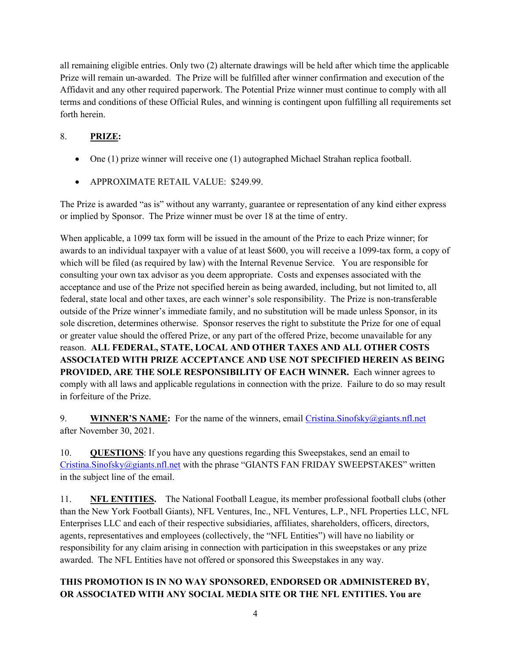all remaining eligible entries. Only two (2) alternate drawings will be held after which time the applicable Prize will remain un-awarded. The Prize will be fulfilled after winner confirmation and execution of the Affidavit and any other required paperwork. The Potential Prize winner must continue to comply with all terms and conditions of these Official Rules, and winning is contingent upon fulfilling all requirements set forth herein.

## 8. **PRIZE:**

- One (1) prize winner will receive one (1) autographed Michael Strahan replica football.
- APPROXIMATE RETAIL VALUE: \$249.99.

The Prize is awarded "as is" without any warranty, guarantee or representation of any kind either express or implied by Sponsor. The Prize winner must be over 18 at the time of entry.

When applicable, a 1099 tax form will be issued in the amount of the Prize to each Prize winner; for awards to an individual taxpayer with a value of at least \$600, you will receive a 1099-tax form, a copy of which will be filed (as required by law) with the Internal Revenue Service. You are responsible for consulting your own tax advisor as you deem appropriate. Costs and expenses associated with the acceptance and use of the Prize not specified herein as being awarded, including, but not limited to, all federal, state local and other taxes, are each winner's sole responsibility. The Prize is non-transferable outside of the Prize winner's immediate family, and no substitution will be made unless Sponsor, in its sole discretion, determines otherwise. Sponsor reserves the right to substitute the Prize for one of equal or greater value should the offered Prize, or any part of the offered Prize, become unavailable for any reason. **ALL FEDERAL, STATE, LOCAL AND OTHER TAXES AND ALL OTHER COSTS ASSOCIATED WITH PRIZE ACCEPTANCE AND USE NOT SPECIFIED HEREIN AS BEING PROVIDED, ARE THE SOLE RESPONSIBILITY OF EACH WINNER.** Each winner agrees to comply with all laws and applicable regulations in connection with the prize. Failure to do so may result in forfeiture of the Prize.

9. **WINNER'S NAME:** For the name of the winners, email [Cristina.Sinofsky@giants.nfl.net](mailto:Cristina.Sinofsky@giants.nfl.net) after November 30, 2021.

10. **QUESTIONS**: If you have any questions regarding this Sweepstakes, send an email to [Cristina.Sinofsky@giants.nfl.net](mailto:Cristina.Sinofsky@giants.nfl.net) with the phrase "GIANTS FAN FRIDAY SWEEPSTAKES" written in the subject line of the email.

11. **NFL ENTITIES.** The National Football League, its member professional football clubs (other than the New York Football Giants), NFL Ventures, Inc., NFL Ventures, L.P., NFL Properties LLC, NFL Enterprises LLC and each of their respective subsidiaries, affiliates, shareholders, officers, directors, agents, representatives and employees (collectively, the "NFL Entities") will have no liability or responsibility for any claim arising in connection with participation in this sweepstakes or any prize awarded. The NFL Entities have not offered or sponsored this Sweepstakes in any way.

# **THIS PROMOTION IS IN NO WAY SPONSORED, ENDORSED OR ADMINISTERED BY, OR ASSOCIATED WITH ANY SOCIAL MEDIA SITE OR THE NFL ENTITIES. You are**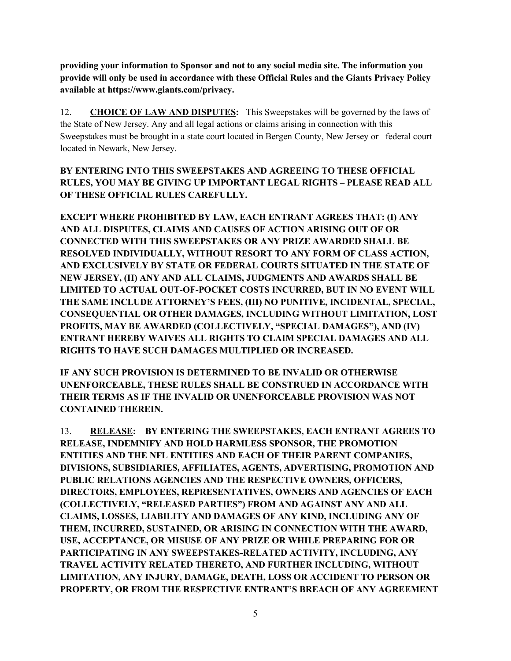**providing your information to Sponsor and not to any social media site. The information you provide will only be used in accordance with these Official Rules and the Giants Privacy Policy available at https://www.giants.com/privacy.**

12. **CHOICE OF LAW AND DISPUTES:** This Sweepstakes will be governed by the laws of the State of New Jersey. Any and all legal actions or claims arising in connection with this Sweepstakes must be brought in a state court located in Bergen County, New Jersey or federal court located in Newark, New Jersey.

## **BY ENTERING INTO THIS SWEEPSTAKES AND AGREEING TO THESE OFFICIAL RULES, YOU MAY BE GIVING UP IMPORTANT LEGAL RIGHTS – PLEASE READ ALL OF THESE OFFICIAL RULES CAREFULLY.**

**EXCEPT WHERE PROHIBITED BY LAW, EACH ENTRANT AGREES THAT: (I) ANY AND ALL DISPUTES, CLAIMS AND CAUSES OF ACTION ARISING OUT OF OR CONNECTED WITH THIS SWEEPSTAKES OR ANY PRIZE AWARDED SHALL BE RESOLVED INDIVIDUALLY, WITHOUT RESORT TO ANY FORM OF CLASS ACTION, AND EXCLUSIVELY BY STATE OR FEDERAL COURTS SITUATED IN THE STATE OF NEW JERSEY, (II) ANY AND ALL CLAIMS, JUDGMENTS AND AWARDS SHALL BE LIMITED TO ACTUAL OUT-OF-POCKET COSTS INCURRED, BUT IN NO EVENT WILL THE SAME INCLUDE ATTORNEY'S FEES, (III) NO PUNITIVE, INCIDENTAL, SPECIAL, CONSEQUENTIAL OR OTHER DAMAGES, INCLUDING WITHOUT LIMITATION, LOST PROFITS, MAY BE AWARDED (COLLECTIVELY, "SPECIAL DAMAGES"), AND (IV) ENTRANT HEREBY WAIVES ALL RIGHTS TO CLAIM SPECIAL DAMAGES AND ALL RIGHTS TO HAVE SUCH DAMAGES MULTIPLIED OR INCREASED.**

**IF ANY SUCH PROVISION IS DETERMINED TO BE INVALID OR OTHERWISE UNENFORCEABLE, THESE RULES SHALL BE CONSTRUED IN ACCORDANCE WITH THEIR TERMS AS IF THE INVALID OR UNENFORCEABLE PROVISION WAS NOT CONTAINED THEREIN.**

13. **RELEASE: BY ENTERING THE SWEEPSTAKES, EACH ENTRANT AGREES TO RELEASE, INDEMNIFY AND HOLD HARMLESS SPONSOR, THE PROMOTION ENTITIES AND THE NFL ENTITIES AND EACH OF THEIR PARENT COMPANIES, DIVISIONS, SUBSIDIARIES, AFFILIATES, AGENTS, ADVERTISING, PROMOTION AND PUBLIC RELATIONS AGENCIES AND THE RESPECTIVE OWNERS, OFFICERS, DIRECTORS, EMPLOYEES, REPRESENTATIVES, OWNERS AND AGENCIES OF EACH (COLLECTIVELY, "RELEASED PARTIES") FROM AND AGAINST ANY AND ALL CLAIMS, LOSSES, LIABILITY AND DAMAGES OF ANY KIND, INCLUDING ANY OF THEM, INCURRED, SUSTAINED, OR ARISING IN CONNECTION WITH THE AWARD, USE, ACCEPTANCE, OR MISUSE OF ANY PRIZE OR WHILE PREPARING FOR OR PARTICIPATING IN ANY SWEEPSTAKES-RELATED ACTIVITY, INCLUDING, ANY TRAVEL ACTIVITY RELATED THERETO, AND FURTHER INCLUDING, WITHOUT LIMITATION, ANY INJURY, DAMAGE, DEATH, LOSS OR ACCIDENT TO PERSON OR PROPERTY, OR FROM THE RESPECTIVE ENTRANT'S BREACH OF ANY AGREEMENT**